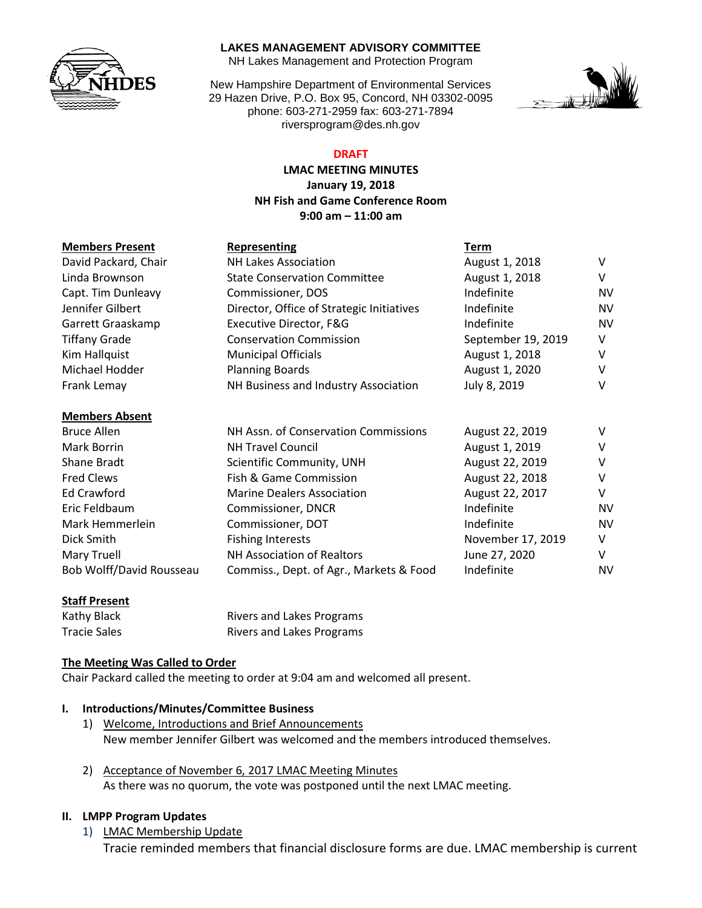

#### **LAKES MANAGEMENT ADVISORY COMMITTEE**

NH Lakes Management and Protection Program

New Hampshire Department of Environmental Services 29 Hazen Drive, P.O. Box 95, Concord, NH 03302-0095 phone: 603-271-2959 fax: 603-271-7894 riversprogram@des.nh.gov



### **DRAFT**

### **LMAC MEETING MINUTES January 19, 2018 NH Fish and Game Conference Room 9:00 am – 11:00 am**

| <b>Members Present</b>   | Representing                              | Term               |           |
|--------------------------|-------------------------------------------|--------------------|-----------|
| David Packard, Chair     | <b>NH Lakes Association</b>               | August 1, 2018     | V         |
| Linda Brownson           | <b>State Conservation Committee</b>       | August 1, 2018     | v         |
| Capt. Tim Dunleavy       | Commissioner, DOS                         | Indefinite         | <b>NV</b> |
| Jennifer Gilbert         | Director, Office of Strategic Initiatives | Indefinite         | <b>NV</b> |
| Garrett Graaskamp        | Executive Director, F&G                   | Indefinite         | <b>NV</b> |
| <b>Tiffany Grade</b>     | <b>Conservation Commission</b>            | September 19, 2019 | V         |
| Kim Hallquist            | <b>Municipal Officials</b>                | August 1, 2018     | V         |
| Michael Hodder           | <b>Planning Boards</b>                    | August 1, 2020     | V         |
| Frank Lemay              | NH Business and Industry Association      | July 8, 2019       | V         |
| <b>Members Absent</b>    |                                           |                    |           |
| <b>Bruce Allen</b>       | NH Assn. of Conservation Commissions      | August 22, 2019    | v         |
| Mark Borrin              | <b>NH Travel Council</b>                  | August 1, 2019     | V         |
| Shane Bradt              | Scientific Community, UNH                 | August 22, 2019    | V         |
| <b>Fred Clews</b>        | Fish & Game Commission                    | August 22, 2018    | V         |
| Ed Crawford              | <b>Marine Dealers Association</b>         | August 22, 2017    | V         |
| Eric Feldbaum            | Commissioner, DNCR                        | Indefinite         | <b>NV</b> |
| Mark Hemmerlein          | Commissioner, DOT                         | Indefinite         | <b>NV</b> |
| Dick Smith               | <b>Fishing Interests</b>                  | November 17, 2019  | v         |
| Mary Truell              | NH Association of Realtors                | June 27, 2020      | $\vee$    |
| Bob Wolff/David Rousseau | Commiss., Dept. of Agr., Markets & Food   | Indefinite         | <b>NV</b> |
|                          |                                           |                    |           |

### **Staff Present**

Kathy Black **Rivers and Lakes Programs** Tracie Sales **Rivers** and Lakes Programs

**The Meeting Was Called to Order**

Chair Packard called the meeting to order at 9:04 am and welcomed all present.

### **I. Introductions/Minutes/Committee Business**

- 1) Welcome, Introductions and Brief Announcements New member Jennifer Gilbert was welcomed and the members introduced themselves.
- 2) Acceptance of November 6, 2017 LMAC Meeting Minutes As there was no quorum, the vote was postponed until the next LMAC meeting.

#### **II. LMPP Program Updates**

1) LMAC Membership Update Tracie reminded members that financial disclosure forms are due. LMAC membership is current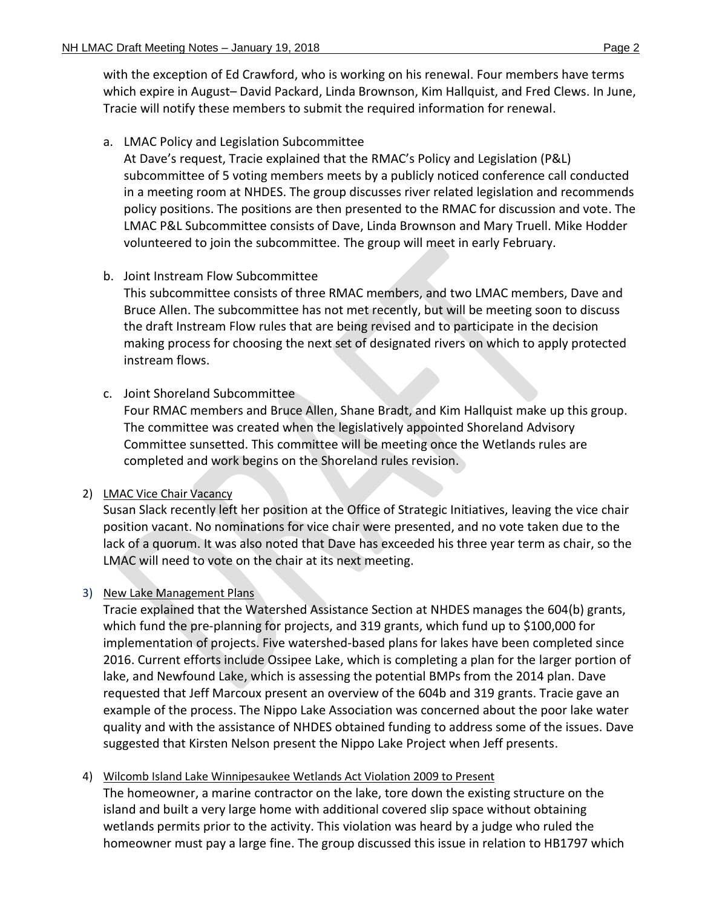with the exception of Ed Crawford, who is working on his renewal. Four members have terms which expire in August– David Packard, Linda Brownson, Kim Hallquist, and Fred Clews. In June, Tracie will notify these members to submit the required information for renewal.

### a. LMAC Policy and Legislation Subcommittee

At Dave's request, Tracie explained that the RMAC's Policy and Legislation (P&L) subcommittee of 5 voting members meets by a publicly noticed conference call conducted in a meeting room at NHDES. The group discusses river related legislation and recommends policy positions. The positions are then presented to the RMAC for discussion and vote. The LMAC P&L Subcommittee consists of Dave, Linda Brownson and Mary Truell. Mike Hodder volunteered to join the subcommittee. The group will meet in early February.

## b. Joint Instream Flow Subcommittee

This subcommittee consists of three RMAC members, and two LMAC members, Dave and Bruce Allen. The subcommittee has not met recently, but will be meeting soon to discuss the draft Instream Flow rules that are being revised and to participate in the decision making process for choosing the next set of designated rivers on which to apply protected instream flows.

## c. Joint Shoreland Subcommittee

Four RMAC members and Bruce Allen, Shane Bradt, and Kim Hallquist make up this group. The committee was created when the legislatively appointed Shoreland Advisory Committee sunsetted. This committee will be meeting once the Wetlands rules are completed and work begins on the Shoreland rules revision.

### 2) LMAC Vice Chair Vacancy

Susan Slack recently left her position at the Office of Strategic Initiatives, leaving the vice chair position vacant. No nominations for vice chair were presented, and no vote taken due to the lack of a quorum. It was also noted that Dave has exceeded his three year term as chair, so the LMAC will need to vote on the chair at its next meeting.

### 3) New Lake Management Plans

Tracie explained that the Watershed Assistance Section at NHDES manages the 604(b) grants, which fund the pre-planning for projects, and 319 grants, which fund up to \$100,000 for implementation of projects. Five watershed-based plans for lakes have been completed since 2016. Current efforts include Ossipee Lake, which is completing a plan for the larger portion of lake, and Newfound Lake, which is assessing the potential BMPs from the 2014 plan. Dave requested that Jeff Marcoux present an overview of the 604b and 319 grants. Tracie gave an example of the process. The Nippo Lake Association was concerned about the poor lake water quality and with the assistance of NHDES obtained funding to address some of the issues. Dave suggested that Kirsten Nelson present the Nippo Lake Project when Jeff presents.

## 4) Wilcomb Island Lake Winnipesaukee Wetlands Act Violation 2009 to Present

The homeowner, a marine contractor on the lake, tore down the existing structure on the island and built a very large home with additional covered slip space without obtaining wetlands permits prior to the activity. This violation was heard by a judge who ruled the homeowner must pay a large fine. The group discussed this issue in relation to HB1797 which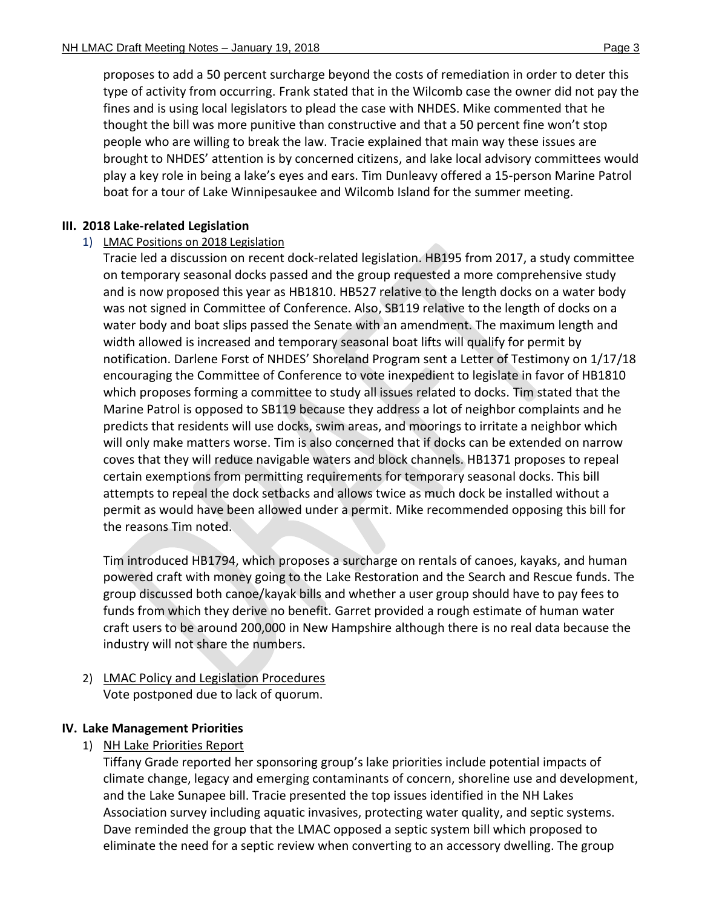proposes to add a 50 percent surcharge beyond the costs of remediation in order to deter this type of activity from occurring. Frank stated that in the Wilcomb case the owner did not pay the fines and is using local legislators to plead the case with NHDES. Mike commented that he thought the bill was more punitive than constructive and that a 50 percent fine won't stop people who are willing to break the law. Tracie explained that main way these issues are brought to NHDES' attention is by concerned citizens, and lake local advisory committees would play a key role in being a lake's eyes and ears. Tim Dunleavy offered a 15-person Marine Patrol boat for a tour of Lake Winnipesaukee and Wilcomb Island for the summer meeting.

## **III. 2018 Lake-related Legislation**

# 1) LMAC Positions on 2018 Legislation

Tracie led a discussion on recent dock-related legislation. HB195 from 2017, a study committee on temporary seasonal docks passed and the group requested a more comprehensive study and is now proposed this year as HB1810. HB527 relative to the length docks on a water body was not signed in Committee of Conference. Also, SB119 relative to the length of docks on a water body and boat slips passed the Senate with an amendment. The maximum length and width allowed is increased and temporary seasonal boat lifts will qualify for permit by notification. Darlene Forst of NHDES' Shoreland Program sent a Letter of Testimony on 1/17/18 encouraging the Committee of Conference to vote inexpedient to legislate in favor of HB1810 which proposes forming a committee to study all issues related to docks. Tim stated that the Marine Patrol is opposed to SB119 because they address a lot of neighbor complaints and he predicts that residents will use docks, swim areas, and moorings to irritate a neighbor which will only make matters worse. Tim is also concerned that if docks can be extended on narrow coves that they will reduce navigable waters and block channels. HB1371 proposes to repeal certain exemptions from permitting requirements for temporary seasonal docks. This bill attempts to repeal the dock setbacks and allows twice as much dock be installed without a permit as would have been allowed under a permit. Mike recommended opposing this bill for the reasons Tim noted.

Tim introduced HB1794, which proposes a surcharge on rentals of canoes, kayaks, and human powered craft with money going to the Lake Restoration and the Search and Rescue funds. The group discussed both canoe/kayak bills and whether a user group should have to pay fees to funds from which they derive no benefit. Garret provided a rough estimate of human water craft users to be around 200,000 in New Hampshire although there is no real data because the industry will not share the numbers.

## 2) LMAC Policy and Legislation Procedures Vote postponed due to lack of quorum.

## **IV. Lake Management Priorities**

# 1) NH Lake Priorities Report

Tiffany Grade reported her sponsoring group's lake priorities include potential impacts of climate change, legacy and emerging contaminants of concern, shoreline use and development, and the Lake Sunapee bill. Tracie presented the top issues identified in the NH Lakes Association survey including aquatic invasives, protecting water quality, and septic systems. Dave reminded the group that the LMAC opposed a septic system bill which proposed to eliminate the need for a septic review when converting to an accessory dwelling. The group